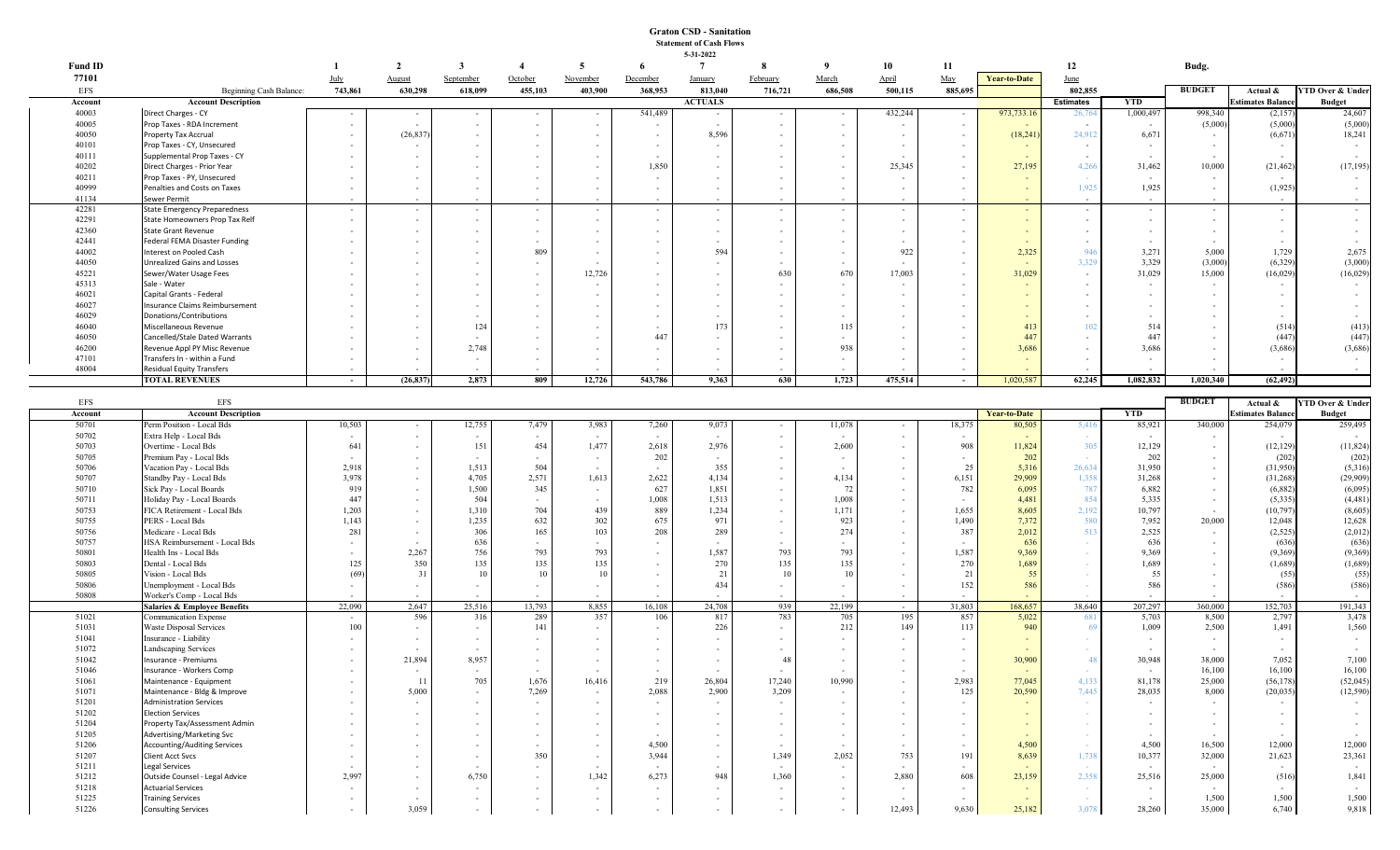## **Graton CSD - Sanitation Statement of Cash Flows 5-31-2022**

| <b>Fund ID</b> |                                                             |         |                          |                          |                  | -5                              | -6                       | 3-31-2022<br>$\overline{7}$ |          |                                    | 10                       | 11                       |                          | 12               |              | Budg.                              |                                    |                             |
|----------------|-------------------------------------------------------------|---------|--------------------------|--------------------------|------------------|---------------------------------|--------------------------|-----------------------------|----------|------------------------------------|--------------------------|--------------------------|--------------------------|------------------|--------------|------------------------------------|------------------------------------|-----------------------------|
| 77101          |                                                             | July    | August                   | September                | October          | November                        | December                 | <b>January</b>              | February | March                              | April                    | May                      | <b>Year-to-Date</b>      | June             |              |                                    |                                    |                             |
| <b>EFS</b>     | Beginning Cash Balance:                                     | 743,861 | 630,298                  | 618,099                  | 455,103          | 403,900                         | 368,953                  | 813,040                     | 716,721  | 686,508                            | 500,115                  | 885,695                  |                          | 802,855          |              | <b>BUDGET</b>                      | Actual &                           | YTD Over & Under            |
| Account        | <b>Account Description</b>                                  |         |                          |                          |                  |                                 |                          | <b>ACTUALS</b>              |          |                                    |                          |                          |                          | <b>Estimates</b> | YTD          |                                    | <b>Estimates Balano</b>            | <b>Budget</b>               |
| 40003          | Direct Charges - CY                                         |         | $\sim$                   | $\sim$                   |                  |                                 | 541,489                  |                             | $\sim$   |                                    | 432,244                  | $\sim$                   | 973,733.16               | 26,764           | 1,000,497    | 998,340                            | (2,157)                            | 24,607                      |
| 40005          | Prop Taxes - RDA Increment                                  |         | $\sim$                   | $\sim$                   | $\blacksquare$   | $\overline{\phantom{a}}$        | $\sim$                   |                             | $\sim$   |                                    |                          | $\sim$                   |                          | $\sim$           |              | (5,000)                            | (5,000)                            | (5,000)                     |
| 40050          | Property Tax Accrual                                        |         | (26, 837)                |                          |                  |                                 | $\sim$                   | 8,596                       |          |                                    |                          | $\sim$                   | (18,241)                 | 24,912           | 6,671        |                                    | (6, 671)                           | 18,241                      |
| 40101          | Prop Taxes - CY, Unsecured                                  |         | $\overline{\phantom{a}}$ |                          |                  |                                 |                          |                             |          |                                    |                          | $\sim$                   |                          |                  |              | $\sim$                             |                                    |                             |
| 40111          | Supplemental Prop Taxes - CY                                |         |                          |                          |                  |                                 | $\overline{\phantom{a}}$ |                             |          |                                    |                          | $\sim$                   | $\sim$                   |                  |              | $\sim$                             | $\sim$                             |                             |
| 40202<br>40211 | Direct Charges - Prior Year<br>Prop Taxes - PY, Unsecured   |         |                          |                          |                  |                                 | 1,850                    |                             |          |                                    | 25,345                   | $\sim$<br>$\sim$         | 27,195                   | 4,266            | 31,462       | 10,000                             | (21, 462)                          | (17, 195)                   |
| 40999          | Penalties and Costs on Taxes                                | $\sim$  | $\sim$                   |                          | $\sim$           |                                 | $\sim$                   |                             |          | $\sim$                             | $\sim$                   | $\sim$                   | $\sim$                   | 1,925            | 1,925        | $\sim$<br>$\sim$                   | (1,925)                            | $\sim$                      |
| 41134          | Sewer Permit                                                |         |                          |                          |                  |                                 |                          |                             |          |                                    |                          |                          |                          |                  |              | $\overline{\phantom{a}}$           |                                    | $\sim$                      |
| 42281          | <b>State Emergency Preparedness</b>                         | $\sim$  | $\sim$                   | $\sim$                   | $\sim$           | $\sim$                          | $\sim$                   | $\sim$                      | $\sim$   | $\sim$                             | $\sim$                   | $\sim$                   | $\sim$                   | $\sim$           | $\sim$       | $\sim$                             | $\sim$                             | $\sim$                      |
| 42291          | State Homeowners Prop Tax Relf                              | $\sim$  | $\sim$                   | $\sim$                   | $\sim$           | $\sim$                          | $\sim$                   |                             | $\sim$   | $\sim$                             | $\sim$                   | $\sim$                   | $\sim$                   |                  |              | $\sim$                             | $\sim$                             | $\sim$                      |
| 42360          | <b>State Grant Revenue</b>                                  |         |                          |                          | $\sim$           |                                 | $\sim$                   |                             |          |                                    |                          | $\sim$                   | $\sim$                   |                  |              |                                    | $\sim$                             | $\sim$                      |
| 42441          | Federal FEMA Disaster Funding                               |         | $\overline{\phantom{a}}$ |                          |                  |                                 | $\sim$                   |                             |          |                                    |                          | $\sim$                   | $\sim$                   |                  |              | $\sim$                             | $\sim$                             | $\sim$                      |
| 44002          | Interest on Pooled Cash                                     |         |                          |                          | 809              |                                 |                          | 594                         |          |                                    | 922                      | $\sim$                   | 2,325                    | 946              | 3,271        | 5,000                              | 1,729                              | 2,675                       |
| 44050          | <b>Unrealized Gains and Losses</b>                          |         |                          |                          |                  |                                 | $\sim$                   |                             |          |                                    |                          | $\sim$                   | $\sim$                   | 3,329            | 3,329        | (3,000)                            | (6, 329)                           | (3,000)                     |
| 45221          | Sewer/Water Usage Fees                                      |         |                          |                          |                  | 12,726                          |                          |                             | 630      | 670                                | 17,003                   | $\sim$                   | 31,029                   |                  | 31,029       | 15,000                             | (16,029)                           | (16, 029)                   |
| 45313          | Sale - Water                                                |         |                          |                          |                  | $\sim$                          |                          |                             |          |                                    |                          | $\sim$                   |                          |                  |              | $\overline{\phantom{a}}$           | $\sim$                             |                             |
| 46021<br>46027 | Capital Grants - Federal<br>Insurance Claims Reimbursement  |         |                          |                          |                  |                                 |                          |                             |          |                                    |                          | $\sim$                   | $\sim$<br>$\overline{a}$ |                  |              | $\sim$                             | $\sim$<br>$\overline{\phantom{a}}$ | $\sim$<br>$\sim$            |
| 46029          | Donations/Contributions                                     |         |                          |                          |                  |                                 |                          |                             |          |                                    |                          |                          | $\sim$                   |                  |              |                                    | $\sim$                             | $\sim$                      |
| 46040          | Miscellaneous Revenue                                       |         |                          | 124                      |                  |                                 |                          | 173                         |          | 115                                |                          | $\sim$                   | 413                      |                  | 514          |                                    | (514)                              | (413)                       |
| 46050          | Cancelled/Stale Dated Warrants                              |         |                          |                          |                  |                                 | 447                      |                             |          |                                    |                          |                          | 447                      |                  | 447          |                                    | (447)                              | (447)                       |
| 46200          | Revenue Appl PY Misc Revenue                                |         |                          | 2.748                    | $\sim$           |                                 |                          |                             |          | 938                                |                          | $\sim$                   | 3,686                    |                  | 3,686        |                                    | (3,686)                            | (3,686)                     |
| 47101          | Transfers In - within a Fund                                |         |                          | $\overline{\phantom{a}}$ |                  |                                 | $\overline{\phantom{a}}$ |                             |          |                                    |                          | $\overline{\phantom{a}}$ |                          |                  |              |                                    | $\sim$                             |                             |
| 48004          | Residual Equity Transfers                                   |         |                          |                          |                  |                                 |                          |                             |          |                                    |                          |                          |                          |                  |              |                                    |                                    |                             |
|                | <b>TOTAL REVENUES</b>                                       | $\sim$  | (26, 837)                | 2,873                    | 809              | 12,726                          | 543,786                  | 9,363                       | 630      | 1,723                              | 475,514                  | $\sim$                   | 1,020,587                | 62,245           | 1,082,832    | 1,020,340                          | (62, 492)                          |                             |
|                |                                                             |         |                          |                          |                  |                                 |                          |                             |          |                                    |                          |                          |                          |                  |              |                                    |                                    |                             |
| <b>EFS</b>     | <b>EFS</b>                                                  |         |                          |                          |                  |                                 |                          |                             |          |                                    |                          |                          |                          |                  |              | <b>BUDGET</b>                      | Actual &                           | <b>YTD Over &amp; Under</b> |
| Account        | <b>Account Description</b>                                  |         |                          |                          |                  |                                 |                          |                             |          |                                    |                          |                          | <b>Year-to-Date</b>      |                  | YTD          |                                    | stimates Balanc                    | <b>Budget</b>               |
| 50701<br>50702 | Perm Position - Local Bds<br>Extra Help - Local Bds         | 10,503  | $\sim$                   | 12,755                   | 7,479            | 3,983                           | 7,260                    | 9,073                       |          | 11,078                             |                          | 18,375                   | 80,505                   | 5,416            | 85,921       | 340,000                            | 254,079                            | 259,495                     |
| 50703          | Overtime - Local Bds                                        | 641     | $\sim$<br>$\sim$         | $\sim$<br>151            | $\sim$<br>454    | $\sim$<br>1,477                 | $\sim$<br>2,618          | 2,976                       | $\sim$   | 2,600                              | $\sim$                   | $\sim$<br>908            | 11,824                   | $\sim$<br>305    | 12,129       | $\sim$<br>$\overline{\phantom{a}}$ | (12, 129)                          | (11, 824)                   |
| 50705          | Premium Pay - Local Bds                                     |         | $\sim$                   |                          | $\sim$           | $\sim$                          | 202                      | $\sim$                      | $\sim$   |                                    |                          | $\sim$                   | 202                      | $\sim$ $-$       | 202          | $\sim$                             | (202)                              | (202)                       |
| 50706          | Vacation Pay - Local Bds                                    | 2,918   | $\sim$                   | 1,513                    | 504              | $\sim$                          | $\sim$                   | 355                         | $\sim$   |                                    |                          | 25                       | 5,316                    | 26.634           | 31,950       | $\sim$                             | (31,950)                           | (5,316)                     |
| 50707          | Standby Pay - Local Bds                                     | 3,978   | $\sim$                   | 4,705                    | 2,571            | 1,613                           | 2,622                    | 4,134                       | $\sim$   | 4,134                              |                          | 6,151                    | 29,909                   | 1,358            | 31,268       | $\sim$                             | (31, 268)                          | (29,909)                    |
| 50710          | Sick Pay - Local Boards                                     | 919     | $\sim$                   | 1,500                    | 345              | $\sim$                          | 627                      | 1,851                       | $\sim$   | 72                                 |                          | 782                      | 6,095                    | 787              | 6,882        | $\sim$                             | (6,882)                            | (6,095)                     |
| 50711          | Holiday Pay - Local Boards                                  | 447     | $\sim$                   | 504                      | $\sim$           | $\sim$                          | 1,008                    | 1,513                       | $\sim$   | 1,008                              |                          | $\sim$                   | 4,481                    | 854              | 5,335        | $\sim$                             | (5, 335)                           | (4, 481)                    |
| 50753          | FICA Retirement - Local Bds                                 | 1,203   |                          | 1,310                    | 704              | 439                             | 889                      | 1,234                       |          | 1,171                              |                          | 1,655                    | 8,605                    | 2,192            | 10,797       |                                    | (10,797)                           | (8,605)                     |
| 50755          | PERS - Local Bds                                            | 1,143   | $\sim$                   | 1,235                    | 632              | 302                             | 675                      | 971                         | $\sim$   | 923                                |                          | 1,490                    | 7,372                    | 580              | 7,952        | 20,000                             | 12,048                             | 12,628                      |
| 50756<br>50757 | Medicare - Local Bds                                        | 281     |                          | 306<br>636               | 165              | 103                             | 208                      | 289                         |          | 274                                |                          | 387                      | 2,012<br>636             | 513              | 2,525<br>636 | $\sim$                             | (2,525)                            | (2,012)                     |
| 50801          | HSA Reimbursement - Local Bds<br>Health Ins - Local Bds     |         | 2,267                    | 756                      | $\sim$<br>793    | $\overline{\phantom{a}}$<br>793 | $\sim$<br>$\sim$         | 1,587                       | 793      | 793                                |                          | $\sim$<br>1,587          | 9,369                    |                  | 9,369        |                                    | (636)<br>(9, 369)                  | (636)<br>(9,369)            |
| 50803          | Dental - Local Bds                                          | 125     | 350                      | 135                      | 135              | 135                             | $\sim$                   | 270                         | 135      | 135                                |                          | 270                      | 1,689                    |                  | 1,689        |                                    | (1,689)                            | (1,689)                     |
| 50805          | Vision - Local Bds                                          | (69)    | 31                       | 10                       | 10               | 10                              | $\sim$                   | 21                          | 10       | 10                                 |                          | 21                       | 55                       |                  | 55           | $\sim$                             | (55)                               | (55)                        |
| 50806          | Unemployment - Local Bds                                    |         | $\sim$                   | $\sim$                   | $\sim$           |                                 | $\sim$                   | 434                         |          |                                    | $\sim$                   | 152                      | 586                      |                  | 586          | $\sim$                             | (586)                              | (586)                       |
| 50808          | Worker's Comp - Local Bds                                   |         |                          |                          |                  |                                 |                          |                             |          |                                    |                          |                          |                          |                  |              |                                    |                                    |                             |
|                | <b>Salaries &amp; Employee Benefits</b>                     | 22,090  | 2,647                    | 25,516                   | 13,793           | 8,855                           | 16,108                   | 24,708                      | 939      | 22,199                             | $\sim$                   | 31,803                   | 168,657                  | 38,640           | 207,297      | 360,000                            | 152,703                            | 191,343                     |
| 51021          | Communication Expense                                       |         | 596                      | 316                      | 289              | 357                             | 106                      | 817                         | 783      | 705                                | 195                      | 857                      | 5,022                    | 681              | 5,703        | 8,500                              | 2,797                              | 3,478                       |
| 51031          | Waste Disposal Services                                     | 100     | $\sim$                   |                          | 141              | $\sim$                          | $\sim$                   | 226                         | $\sim$   | 212                                | 149                      | 113                      | 940                      | 69               | 1,009        | 2,500                              | 1,491                              | 1,560                       |
| 51041          | Insurance - Liability                                       |         | $\sim$                   |                          |                  |                                 | $\sim$                   |                             |          |                                    |                          | $\sim$                   | $\sim$                   |                  |              | $\sim$                             | $\sim$                             |                             |
| 51072<br>51042 | <b>Landscaping Services</b><br>Insurance - Premiums         |         | $\sim$<br>21,894         | 8,957                    |                  |                                 | $\sim$                   |                             | 48       |                                    |                          | $\sim$<br>$\sim$         | 30,900                   | 48               | 30,948       | $\sim$<br>38,000                   | $\sim$<br>7,052                    | 7,100                       |
| 51046          | Insurance - Workers Comp                                    |         | $\sim$                   | $\sim$                   | $\sim$           |                                 | $\sim$                   |                             |          | $\overline{\phantom{a}}$           |                          | $\sim$                   | $\sim$                   |                  | $\sim$       | 16,100                             | 16,100                             | 16,100                      |
| 51061          | Maintenance - Equipment                                     |         |                          | 705                      | 1,676            | 16,416                          | 219                      | 26,804                      | 17,240   | 10,990                             |                          | 2,983                    | 77,045                   | 4,133            | 81,178       | 25,000                             | (56, 178)                          | (52,045)                    |
| 51071          | Maintenance - Bldg & Improve                                | $\sim$  | 5,000                    | $\sim$                   | 7,269            | $\sim$                          | 2,088                    | 2,900                       | 3,209    |                                    | $\sim$                   | 125                      | 20,590                   | 7,445            | 28,035       | 8,000                              | (20, 035)                          | (12, 590)                   |
| 51201          | <b>Administration Services</b>                              |         | $\overline{a}$           | $\sim$                   | $\sim$           | $\overline{\phantom{a}}$        | $\sim$                   |                             | $\sim$   |                                    | $\sim$                   | $\sim$                   |                          |                  |              | $\sim$                             | $\sim$                             | $\sim$                      |
| 51202          | <b>Election Services</b>                                    |         | $\sim$                   |                          | $\sim$           | $\overline{\phantom{a}}$        | $\sim$                   |                             |          |                                    | $\sim$                   | $\sim$                   | $\sim$                   | $\sim$           |              | $\sim$                             | $\overline{\phantom{a}}$           | $\sim$                      |
| 51204          | Property Tax/Assessment Admin                               | $\sim$  | $\sim$                   | $\overline{\phantom{a}}$ | $\sim$           | $\sim$                          | $\sim$                   |                             | $\sim$   | $\sim$                             | $\sim$                   | $\sim$                   | $\sim$                   | $\sim$           |              | $\sim$                             | $\sim$                             | $\sim$                      |
| 51205          | Advertising/Marketing Svc                                   | $\sim$  | $\sim$                   | $\sim$                   | $\sim$           | $\sim$                          |                          |                             | $\sim$   | $\overline{\phantom{a}}$           | $\sim$                   | $\sim$                   | $\sim$                   | $\sim$           |              |                                    |                                    | $\sim$                      |
| 51206          | Accounting/Auditing Services                                | $\sim$  | $\sim$                   | $\sim$                   | $\sim$           | $\sim$                          | 4,500                    | $\sim$                      | $\sim$   | $\sim$                             | $\overline{\phantom{a}}$ | $\sim$                   | 4,500                    | $\sim$           | 4,500        | 16,500                             | 12,000                             | 12,000                      |
| 51207          | <b>Client Acct Svcs</b>                                     | $\sim$  | $\sim$                   | $\overline{a}$           | 350              | $\sim$                          | 3,944                    | $\sim$                      | 1,349    | 2,052                              | 753                      | 191                      | 8,639                    | 1,738            | 10,377       | 32,000                             | 21,623                             | 23,361                      |
| 51211          | Legal Services                                              |         | $\sim$                   |                          | $\sim$           | $\sim$                          | $\sim$                   |                             | $\sim$   | $\sim$                             |                          | $\sim$                   | $\sim$                   |                  |              | $\sim$                             | $\sim$                             | $\sim$                      |
| 51212<br>51218 | Outside Counsel - Legal Advice<br><b>Actuarial Services</b> | 2,997   | $\sim$<br>$\sim$         | 6,750                    | $\sim$<br>$\sim$ | 1,342<br>$\sim$                 | 6,273<br>$\sim$          | 948                         | 1,360    | $\overline{\phantom{a}}$<br>$\sim$ | 2,880                    | 608<br>$\sim$            | 23,159                   | 2,358            | 25,516       | 25,000                             | (516)                              | 1,841                       |
| 51225          | <b>Training Services</b>                                    |         | $\sim$                   | $\sim$                   | $\sim$           | $\sim$                          | $\sim$                   |                             | $\sim$   |                                    | $\sim$                   | $\sim$                   | $\sim$                   | $\sim$           | $\sim$       | 1,500                              | 1,500                              | 1,500                       |
| 51226          | <b>Consulting Services</b>                                  |         | 3,059                    |                          |                  |                                 | $\sim$                   |                             |          |                                    | 12,493                   | 9,630                    | 25,182                   | 3,078            | 28,260       | 35,000                             | 6,740                              | 9,818                       |
|                |                                                             |         |                          |                          |                  |                                 |                          |                             |          |                                    |                          |                          |                          |                  |              |                                    |                                    |                             |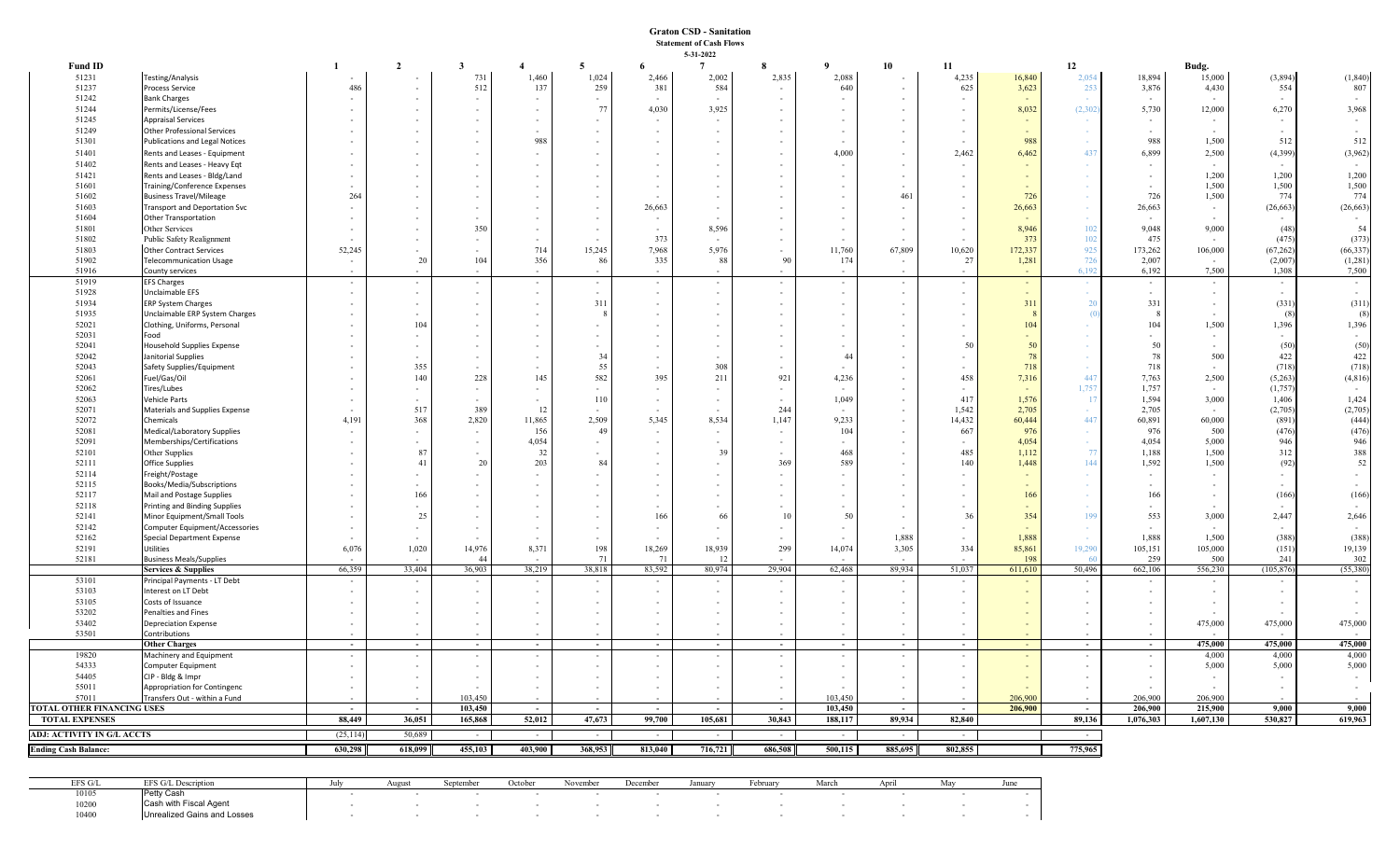## **Graton CSD - Sanitation Statement of Cash Flows 5-31-2022**

| Fund ID                     |                                                                   |                          | $\overline{2}$ | $\mathbf{3}$ | $\overline{4}$           | 5 <sub>1</sub> | 6                        | $7\phantom{.0}$ | 8              | 9                        | 10                       | 11             |              | 12             |                | Budg.          |                  |                   |
|-----------------------------|-------------------------------------------------------------------|--------------------------|----------------|--------------|--------------------------|----------------|--------------------------|-----------------|----------------|--------------------------|--------------------------|----------------|--------------|----------------|----------------|----------------|------------------|-------------------|
| 51231                       | <b>Testing/Analysis</b>                                           |                          |                | 731          | 1,460                    | 1,024          | 2,466                    | 2,002           | 2,835          | 2,088                    |                          | 4,235          | 16,840       | 2,054          | 18,894         | 15,000         | (3,894)          | (1, 840)          |
| 51237                       | Process Service                                                   | 486                      |                | 512          | 137                      | 259            | 381                      | 584             | $\overline{a}$ | 640                      |                          | 625            | 3,623        | 253            | 3,876          | 4,430          | 554              | 807               |
| 51242                       | <b>Bank Charges</b>                                               |                          |                |              | $\sim$                   |                |                          |                 |                |                          |                          |                |              |                |                |                |                  |                   |
| 51244<br>51245              | Permits/License/Fees                                              |                          |                |              | $\overline{\phantom{a}}$ | 77             | 4,030                    | 3,925           |                |                          |                          |                | 8,032        | (2, 302)       | 5,730          | 12,000         | 6,270            | 3,968             |
| 51249                       | <b>Appraisal Services</b><br><b>Other Professional Services</b>   |                          |                |              | $\sim$                   |                |                          | $\sim$          |                |                          | $\sim$                   |                |              | $\sim$         | $\sim$         |                |                  |                   |
| 51301                       | Publications and Legal Notices                                    |                          |                |              | 988                      |                |                          |                 |                |                          | $\sim$                   |                | 988          | $\sim$         | 988            | 1,500          | 512              | 512               |
| 51401                       | Rents and Leases - Equipment                                      |                          |                |              | $\sim$                   |                |                          |                 |                | 4,000                    | $\sim$                   | 2,462          | 6,462        | 437            | 6,899          | 2,500          | (4, 399)         | (3,962)           |
| 51402                       | Rents and Leases - Heavy Eqt                                      |                          |                |              | $\overline{\phantom{a}}$ |                |                          |                 |                |                          | $\sim$                   |                |              | $\sim$         |                |                |                  |                   |
| 51421                       | Rents and Leases - Bldg/Land                                      |                          |                |              |                          |                |                          |                 |                |                          | $\sim$                   |                |              |                | $\sim$         | 1,200          | 1,200            | 1,200             |
| 51601                       | Training/Conference Expenses                                      |                          |                |              |                          |                |                          |                 |                |                          | $\overline{\phantom{a}}$ |                |              | $\sim$         | $\sim$         | 1,500          | 1,500            | 1,500             |
| 51602                       | <b>Business Travel/Mileage</b>                                    | 264                      |                |              |                          |                |                          |                 |                |                          | 461                      |                | 726          | $\sim$         | 726            | 1,500          | 774              | 774               |
| 51603                       | <b>Transport and Deportation Svc</b>                              |                          |                |              |                          |                | 26,663                   |                 |                |                          | $\sim$                   |                | 26,663       | $\sim$         | 26,663         |                | (26, 663)        | (26, 663)         |
| 51604                       | <b>Other Transportation</b>                                       |                          |                |              |                          |                |                          |                 |                |                          |                          |                |              | $\sim$         |                |                |                  | $\sim$            |
| 51801                       | Other Services                                                    |                          |                | 350          |                          |                |                          | 8,596           |                |                          |                          |                | 8,946        | 102            | 9,048          | 9,000          | (48)             | 54                |
| 51802                       | Public Safety Realignment                                         |                          |                |              |                          |                | 373                      |                 |                |                          |                          |                | 373          | 102            | 475            |                | (475)            | (373)             |
| 51803                       | <b>Other Contract Services</b>                                    | 52,245                   |                |              | 714                      | 15,245         | 7,968                    | 5,976           | 90             | 11,760                   | 67,809                   | 10,620         | 172,337      | 925            | 173,262        | 106,000        | (67, 262)        | (66, 337)         |
| 51902<br>51916              | <b>Telecommunication Usage</b>                                    | $\sim$                   | 20             | 104          | 356                      | -86            | 335                      | 88              |                | 174                      | $\sim$                   | 27             | 1,281        | 726<br>6.192   | 2,007<br>6,192 | 7,500          | (2,007)<br>1,308 | (1,281)<br>7,500  |
| 51919                       | County services<br><b>EFS Charges</b>                             |                          |                |              | $\sim$                   | $\sim$         | $\overline{\phantom{a}}$ | $\sim$          |                | $\sim$                   | $\sim$                   |                | $\sim$       |                | $\sim$         |                | $\sim$           | $\sim$            |
| 51928                       | Unclaimable EFS                                                   |                          |                | $\sim$       | $\sim$                   | $\sim$         |                          | $\sim$          |                | $\sim$                   | $\sim$                   |                | $\sim$       | $\sim$         | $\sim$         |                | $\sim$           |                   |
| 51934                       | ERP System Charges                                                |                          |                |              | $\sim$                   | 311            |                          | $\overline{a}$  |                | $\sim$                   | $\sim$                   |                | 311          | $\overline{2}$ | 331            |                | (331)            | (311)             |
| 51935                       | Unclaimable ERP System Charges                                    |                          |                |              | $\overline{\phantom{a}}$ |                |                          |                 |                | $\overline{\phantom{a}}$ |                          |                |              |                |                |                | - 68             | (8)               |
| 52021                       | Clothing, Uniforms, Personal                                      |                          | 104            |              | $\sim$                   |                |                          |                 |                |                          | $\sim$                   |                | 104          |                | 104            | 1,500          | 1,396            | 1,396             |
| 52031                       | Food                                                              |                          |                |              | $\overline{\phantom{a}}$ |                |                          |                 |                |                          | $\sim$                   |                |              |                | $\sim$         |                |                  |                   |
| 52041                       | <b>Household Supplies Expense</b>                                 |                          |                |              |                          |                |                          |                 |                |                          | $\sim$                   | 50             | 50           |                | 50             |                | (50)             | (50)              |
| 52042                       | Janitorial Supplies                                               |                          |                |              | $\overline{\phantom{a}}$ | 34<br>55       |                          |                 |                | 44                       | $\sim$                   |                | 78           | $\sim$         | 78<br>718      | 500            | 422              | 422               |
| 52043<br>52061              | Safety Supplies/Equipment                                         |                          | 355<br>140     | 228          | 145                      | 582            | 395                      | 308<br>211      | 921            | 4,236                    | $\sim$<br>$\sim$         | 458            | 718<br>7,316 | 447            | 7,763          | 2,500          | (718)<br>(5,263) | (718)<br>(4, 816) |
| 52062                       | Fuel/Gas/Oil<br>Tires/Lubes                                       |                          |                |              |                          |                |                          | $\sim$          |                |                          | $\sim$                   |                |              | 1,757          | 1,757          |                | (1,757)          |                   |
| 52063                       | Vehicle Parts                                                     |                          |                |              | $\sim$                   | 110            |                          | $\sim$          |                | 1,049                    | $\sim$                   | 417            | 1,576        | -11            | 1,594          | 3,000          | 1,406            | 1,424             |
| 52071                       | Materials and Supplies Expense                                    |                          | 517            | 389          | $\pm$                    |                |                          |                 | 244            |                          | $\sim$                   | 1,542          | 2,705        | $\sim$         | 2,705          |                | (2,705)          | (2,705)           |
| 52072                       | Chemicals                                                         | 4,191                    | 368            | 2,820        | 11,865                   | 2,509          | 5,345                    | 8,534           | 1,147          | 9,233                    | $\sim$                   | 14,432         | 60,444       | 447            | 60,891         | 60,000         | (891)            | (444)             |
| 52081                       | Medical/Laboratory Supplies                                       |                          |                |              | 156                      | 49             |                          |                 |                | 104                      | $\sim$                   | 667            | 976          | $\sim$         | 976            | 500            | (476)            | (476)             |
| 52091                       | Memberships/Certifications                                        |                          |                |              | 4,054                    |                |                          |                 |                |                          | $\sim$                   |                | 4,054        | $\sim$         | 4,054          | 5,000          | 946              | 946               |
| 52101                       | Other Supplies                                                    |                          | 87             | $\sim$       | 32                       |                |                          | 39              |                | 468                      | $\sim$                   | 485            | 1,112        | 77             | 1,188          | 1,500          | 312              | 388               |
| 52111                       | <b>Office Supplies</b>                                            |                          | 41             | 20           | 203                      | 84             |                          |                 | 369            | 589                      |                          | 140            | 1,448        | 144            | 1,592          | 1,500          | (92)             | 52                |
| 52114                       | Freight/Postage                                                   |                          |                |              | $\overline{\phantom{a}}$ |                |                          |                 |                |                          | $\sim$                   |                |              |                | $\sim$         |                |                  |                   |
| 52115                       | Books/Media/Subscriptions                                         |                          |                |              |                          |                |                          |                 |                |                          |                          |                |              |                | $\sim$         |                |                  |                   |
| 52117<br>52118              | Mail and Postage Supplies<br><b>Printing and Binding Supplies</b> |                          | 166            |              |                          |                |                          |                 |                |                          |                          |                | 166          |                | 166            |                | (166)            | (166)             |
| 52141                       | Minor Equipment/Small Tools                                       |                          | 25             |              |                          |                | 166                      | 66              | 10             | -50                      |                          | 36             | 354          | 199            | 553            | 3,000          | 2,447            | 2,646             |
| 52142                       | Computer Equipment/Accessories                                    |                          |                |              |                          |                |                          |                 |                |                          |                          |                |              | $\sim$         |                |                |                  |                   |
| 52162                       | <b>Special Department Expense</b>                                 |                          |                |              |                          |                |                          |                 |                |                          | 1,888                    |                | 1,888        |                | 1,888          | 1,500          | (388)            | (388)             |
| 52191                       | Utilities                                                         | 6,076                    | 1,020          | 14,976       | 8,371                    | 198            | 18,269                   | 18,939          | 299            | 14,074                   | 3,305                    | 334            | 85,861       | 19,290         | 105,151        | 105,000        | (151)            | 19,139            |
| 52181                       | <b>Business Meals/Supplies</b>                                    |                          |                | 44           |                          | 71             | 71                       | 12              |                |                          |                          |                | 198          |                | 259            | 500            | 241              | 302               |
|                             | <b>Services &amp; Supplies</b>                                    | 66,359                   | 33,404         | 36,903       | 38,219                   | 38,818         | 83,592                   | 80,974          | 29,904         | 62,468                   | 89,934                   | 51,037         | 611,610      | 50,496         | 662,106        | 556,230        | (105, 876)       | (55,380)          |
| 53101<br>53103              | Principal Payments - LT Debt<br>Interest on LT Debt               |                          | $\sim$         |              |                          | $\sim$         |                          | $\sim$          |                |                          | $\sim$<br>$\sim$         |                |              | $\sim$         |                |                |                  | $\sim$            |
| 53105                       | Costs of Issuance                                                 |                          |                |              |                          |                |                          |                 |                |                          |                          |                |              |                |                |                |                  |                   |
| 53202                       | Penalties and Fines                                               |                          |                |              |                          |                |                          |                 |                |                          |                          |                |              |                |                |                |                  |                   |
| 53402                       | <b>Depreciation Expense</b>                                       |                          |                |              | $\sim$                   |                |                          |                 |                |                          | $\sim$                   |                |              |                | $\sim$         | 475,000        | 475,000          | 475,000           |
| 53501                       | Contributions                                                     |                          |                |              |                          |                |                          |                 |                |                          |                          |                |              |                |                |                |                  |                   |
|                             | <b>Other Charges</b>                                              | $\sim$ $-$               | $\sim$         | $\sim$ $-$   | $\sim$                   | $\sim$         | $\sim$ $-$               | $\sim$          | $\sim$         | $\sim$                   | $\sim$                   | $\sim$ $ \sim$ | $\sim$       | $\sim$         | $\sim$         | 475,000        | 475,000          | 475,000           |
| 19820<br>54333              | Machinery and Equipment                                           |                          |                |              | $\sim$                   |                |                          |                 | $\sim$         | $\sim$                   | $\sim$<br>$\sim$         |                |              | $\sim$         | $\sim$         | 4,000<br>5,000 | 4,000<br>5,000   | 4,000<br>5,000    |
| 54405                       | Computer Equipment<br>CIP - Bldg & Impr                           |                          |                |              |                          |                |                          |                 |                |                          |                          |                |              |                |                |                |                  | $\sim$            |
| 55011                       | Appropriation for Contingenc                                      |                          |                |              |                          |                |                          |                 |                |                          |                          |                |              |                |                |                |                  |                   |
| 57011                       | Transfers Out - within a Fund                                     |                          |                | 103,450      |                          |                |                          |                 |                | 103,450                  |                          |                | 206,900      |                | 206,900        | 206,900        |                  |                   |
| TOTAL OTHER FINANCING USES  |                                                                   | $\overline{\phantom{a}}$ | $\sim$         | 103,450      | $\sim$                   | $\sim$         | $\overline{\phantom{a}}$ | $\sim$          | $\sim$         | 103,450                  | $\sim$                   | $\sim$         | 206,900      | $\sim$         | 206,900        | 215,900        | 9,000            | 9,000             |
| <b>TOTAL EXPENSES</b>       |                                                                   | 88,449                   | 36,051         | 165,868      | 52,012                   | 47,673         | 99,700                   | 105,681         | 30,843         | 188,117                  | 89,934                   | 82,840         |              | 89,136         | 1,076,303      | 1,607,130      | 530,827          | 619,963           |
| ADJ: ACTIVITY IN G/L ACCTS  |                                                                   | (25, 114)                | 50,689         | $\sim$       | $\sim$                   | $\sim$         | $\sim$                   | $\sim$          | $\sim$         | $\sim$                   | $\sim$                   | $\sim$ $-$     |              | $\sim$ $-$     |                |                |                  |                   |
| <b>Ending Cash Balance:</b> |                                                                   | 630,298                  | 618,099        | 455,103      | 403,900                  | 368,953        | 813,040                  | 716,721         | 686,508        | 500,115                  | 885,695                  | 802,855        |              | 775,965        |                |                |                  |                   |
|                             |                                                                   |                          |                |              |                          |                |                          |                 |                |                          |                          |                |              |                |                |                |                  |                   |

| EFS G/I | $T \cap \alpha$ | Jul | 10111 |  |  | Januar | . coruar | Marc.<br>лагч | שב | J ULIV |
|---------|-----------------|-----|-------|--|--|--------|----------|---------------|----|--------|
| 10105   | n. u            |     |       |  |  |        |          |               |    |        |
| 10200   | 14/11<br>Uds.   |     |       |  |  |        |          |               |    |        |
| 10400   |                 |     |       |  |  |        |          |               |    |        |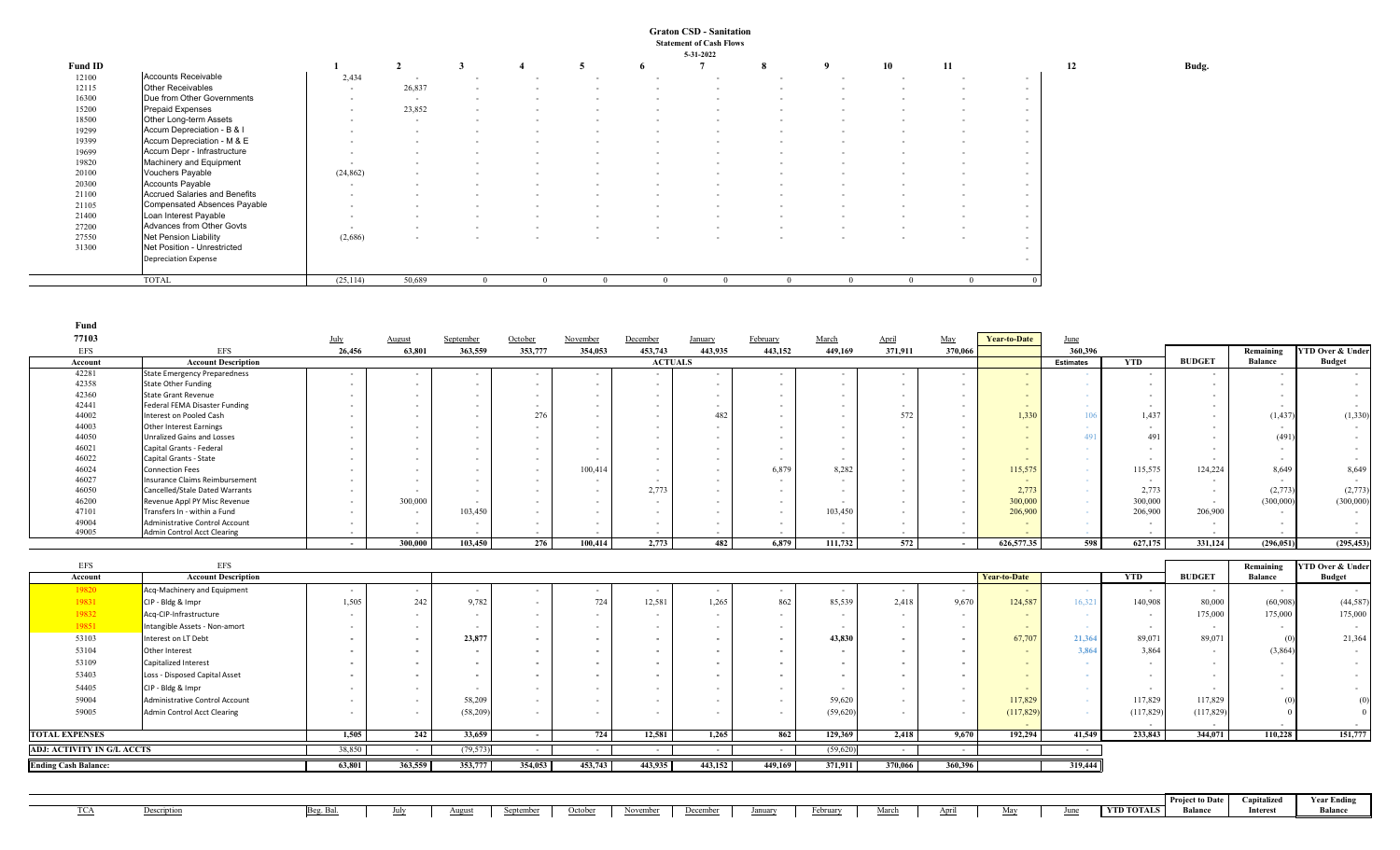## **Graton CSD - Sanitation Statement of Cash Flows 5-31-2022**

|         |                               |           |                          |                          |          |        |                          | 3-31-4044                |                          |                          |                          |        |        |
|---------|-------------------------------|-----------|--------------------------|--------------------------|----------|--------|--------------------------|--------------------------|--------------------------|--------------------------|--------------------------|--------|--------|
| Fund ID |                               |           | $\mathbf{\hat{}}$        |                          |          |        |                          |                          | 8                        | - 9                      | 10                       | 11     |        |
| 12100   | Accounts Receivable           | 2,434     | $\sim$                   |                          |          |        |                          |                          |                          |                          | $\overline{\phantom{0}}$ |        | $\sim$ |
| 12115   | Other Receivables             | $\sim$    | 26,837                   | $\sim$                   | $\sim$   |        |                          |                          |                          | $\overline{\phantom{0}}$ | $\overline{\phantom{a}}$ | $\sim$ | $\sim$ |
| 16300   | Due from Other Governments    | $\sim$    | $\sim$                   | $\sim$                   | $\sim$   |        |                          |                          |                          | $\overline{\phantom{a}}$ | $\sim$                   | $\sim$ | $\sim$ |
| 15200   | <b>Prepaid Expenses</b>       | $\sim$    | 23,852                   | $\sim$                   | $\sim$   |        |                          |                          |                          | $\overline{\phantom{0}}$ | $\overline{\phantom{a}}$ | $\sim$ | $\sim$ |
| 18500   | Other Long-term Assets        | $\sim$    | $\sim$                   | $\sim$                   | $\sim$   | $\sim$ |                          |                          |                          |                          | $\sim$                   | $\sim$ | $\sim$ |
| 19299   | Accum Depreciation - B & I    |           | $\overline{\phantom{a}}$ | $\overline{\phantom{a}}$ |          |        |                          |                          |                          |                          | $\sim$                   | $\sim$ | $\sim$ |
| 19399   | Accum Depreciation - M & E    | $\sim$    | $\overline{\phantom{a}}$ | $\overline{\phantom{a}}$ | $\sim$   |        |                          |                          |                          |                          | $\sim$                   | $\sim$ | $\sim$ |
| 19699   | Accum Depr - Infrastructure   | $\sim$    | $\overline{\phantom{0}}$ | $\overline{\phantom{a}}$ | $\sim$   | $\sim$ |                          |                          |                          | $\overline{\phantom{a}}$ | $\sim$                   | $\sim$ | $\sim$ |
| 19820   | Machinery and Equipment       |           | $\overline{\phantom{0}}$ | $\overline{\phantom{a}}$ |          |        |                          |                          |                          |                          | $\sim$                   | $\sim$ | $\sim$ |
| 20100   | Vouchers Payable              | (24, 862) | $\overline{\phantom{a}}$ | $\overline{\phantom{a}}$ | $\sim$   | $\sim$ |                          |                          |                          | $\overline{\phantom{0}}$ | $\sim$                   | $\sim$ | $\sim$ |
| 20300   | Accounts Payable              | $\sim$    |                          | $\overline{\phantom{a}}$ |          |        |                          |                          |                          |                          | $\sim$                   | $\sim$ | $\sim$ |
| 21100   | Accrued Salaries and Benefits | $\sim$    | $\overline{\phantom{a}}$ | $\sim$                   | $\sim$   |        |                          |                          |                          | $\overline{\phantom{0}}$ | $\sim$                   | $\sim$ | $\sim$ |
| 21105   | Compensated Absences Payable  | $\sim$    | $\overline{\phantom{a}}$ | $\sim$                   | $\sim$   | $\sim$ | $\overline{\phantom{a}}$ | $\sim$                   | $\sim$                   | $\sim$                   | $\sim$                   | $\sim$ | $\sim$ |
| 21400   | Loan Interest Payable         | $\sim$    |                          | $\overline{\phantom{a}}$ |          |        |                          |                          |                          |                          | $\sim$                   |        | $\sim$ |
| 27200   | Advances from Other Govts     | $\sim$    | $\sim$                   | $\sim$                   | $\sim$   | $\sim$ | $\overline{\phantom{a}}$ | $\overline{\phantom{a}}$ | $\sim$                   | $\overline{\phantom{0}}$ | $\sim$                   | $\sim$ | $\sim$ |
| 27550   | Net Pension Liability         | (2,686)   | $\overline{a}$           | $\overline{\phantom{a}}$ | $\sim$   |        | $\overline{\phantom{a}}$ | $\sim$                   | $\overline{\phantom{a}}$ | $\sim$                   | $\sim$                   | $\sim$ | $\sim$ |
| 31300   | Net Position - Unrestricted   |           |                          |                          |          |        |                          |                          |                          |                          |                          |        | $\sim$ |
|         | <b>Depreciation Expense</b>   |           |                          |                          |          |        |                          |                          |                          |                          |                          |        | $\sim$ |
|         | <b>TOTAL</b>                  | (25, 114) | 50,689                   |                          | $\Omega$ |        |                          |                          | $^{\circ}$               |                          |                          |        |        |

| Fund                                                             |                                       |                  |         |                          |                          |          |                |                          |                          |                          |                   |         |                     |                  |                          |                          |                |                             |
|------------------------------------------------------------------|---------------------------------------|------------------|---------|--------------------------|--------------------------|----------|----------------|--------------------------|--------------------------|--------------------------|-------------------|---------|---------------------|------------------|--------------------------|--------------------------|----------------|-----------------------------|
| 77103                                                            |                                       | July             | August  | September                | October                  | November | December       | <b>January</b>           | February                 | March                    | April             | May     | <b>Year-to-Date</b> | June             |                          |                          |                |                             |
| EFS                                                              | <b>EFS</b>                            | 26,456           | 63,801  | 363,559                  | 353,777                  | 354,053  | 453,743        | 443,935                  | 443,152                  | 449,169                  | 371,911           | 370,066 |                     | 360,396          |                          |                          | Remaining      | <b>YTD Over &amp; Under</b> |
| Account                                                          | <b>Account Description</b>            |                  |         |                          |                          |          | <b>ACTUALS</b> |                          |                          |                          |                   |         |                     | <b>Estimates</b> | <b>YTD</b>               | <b>BUDGET</b>            | <b>Balance</b> | <b>Budget</b>               |
| 42281                                                            | <b>State Emergency Preparedness</b>   |                  |         |                          | $\overline{\phantom{a}}$ |          |                | $\overline{\phantom{a}}$ | $\sim$                   |                          |                   | $\sim$  |                     |                  | $\sim$                   | $\sim$                   |                | $\sim 100$                  |
| 42358                                                            | <b>State Other Funding</b>            | $\sim$           |         | $\sim$                   | $\sim$                   |          |                | $\sim$                   | $\sim$                   |                          |                   |         |                     |                  | $\overline{\phantom{a}}$ | $\sim$                   |                | $\sim$ 10 $\pm$             |
| 42360                                                            | <b>State Grant Revenue</b>            |                  |         |                          | $\overline{\phantom{a}}$ |          |                |                          | $\overline{\phantom{a}}$ |                          |                   |         |                     |                  |                          |                          |                | $\sim$                      |
| 42441                                                            | <b>Federal FEMA Disaster Funding</b>  |                  |         |                          | $\sim$                   |          |                | $\sim$                   | $\sim$                   |                          |                   |         |                     |                  | $\sim$                   | $\sim$ $-$               |                | $\sim$ 100 $\mu$            |
| 44002                                                            | Interest on Pooled Cash               |                  |         |                          | 276                      |          |                | 482                      | $\sim$                   |                          | 572               |         | 1,330               | 106              | 1,437                    | $\sim$                   | (1, 437)       | (1, 330)                    |
| 44003                                                            | <b>Other Interest Earnings</b>        |                  |         |                          | $\sim$                   |          |                | $\sim$                   | $\sim$                   |                          |                   |         |                     |                  | $\sim$                   | $\sim$                   |                | $\sim$                      |
| 44050                                                            | <b>Unralized Gains and Losses</b>     |                  |         |                          |                          |          |                |                          | $\overline{\phantom{a}}$ |                          |                   |         |                     |                  | 491                      |                          | (491)          | $\sim$ 10 $\pm$             |
| 46021                                                            | Capital Grants - Federal              |                  |         |                          | $\overline{\phantom{a}}$ |          |                | $\overline{\phantom{a}}$ | $\overline{\phantom{a}}$ |                          |                   |         |                     |                  | $\overline{\phantom{a}}$ |                          |                | $\sim$                      |
| 46022                                                            | Capital Grants - State                |                  |         |                          | $\overline{\phantom{a}}$ |          |                | $\overline{\phantom{a}}$ | $\sim$                   |                          |                   |         |                     |                  | $\overline{\phantom{a}}$ |                          |                | $\sim 100$                  |
| 46024                                                            | <b>Connection Fees</b>                |                  |         |                          | $\overline{\phantom{a}}$ | 100,414  |                | $\overline{\phantom{a}}$ | 6,879                    | 8,282                    |                   |         | 115,575             | $\sim$           | 115,575                  | 124,224                  | 8,649          | 8,649                       |
| 46027                                                            | <b>Insurance Claims Reimbursement</b> |                  |         |                          | $\overline{\phantom{a}}$ |          |                | $\overline{\phantom{a}}$ | $\sim$                   |                          |                   |         |                     |                  | $\sim$                   | $\sim$                   |                | $\sim$ 10 $\pm$             |
| 46050                                                            | Cancelled/Stale Dated Warrants        |                  |         |                          |                          |          | 2,773          | $\overline{\phantom{a}}$ | $\sim$                   |                          |                   |         | 2,773               |                  | 2,773                    | $\sim$                   | (2,773)        | (2,773)                     |
| 46200                                                            | Revenue Appl PY Misc Revenue          |                  | 300,000 |                          |                          |          |                | $\overline{\phantom{a}}$ | $\sim$                   |                          |                   |         | 300,000             |                  | 300,000                  | $\sim$                   | (300,000)      | (300,000)                   |
| 47101                                                            | Transfers In - within a Fund          |                  |         | 103,450                  |                          |          |                |                          | $\overline{\phantom{a}}$ | 103,450                  |                   |         | 206,900             |                  | 206,900                  | 206,900                  |                | $\sim$ 10 $\pm$             |
| 49004                                                            | <b>Administrative Control Account</b> |                  |         | $\sim$                   | $\sim$                   |          |                | $\sim$                   | $\sim$                   | $\sim$                   |                   |         |                     |                  | $\sim$                   | $\sim$                   |                | $\sim$                      |
| 49005                                                            | <b>Admin Control Acct Clearing</b>    |                  |         |                          | $\sim$                   |          |                | $\overline{\phantom{a}}$ |                          |                          |                   |         |                     |                  |                          |                          |                |                             |
|                                                                  |                                       | $\sim$           | 300,000 | 103,450                  | 276                      | 100,414  | 2,773          | 482                      | 6.879                    | 111,732                  | 572               | $\sim$  | 626,577.35          | 598              | 627,175                  | 331,124                  | (296, 051)     | (295, 453)                  |
|                                                                  |                                       |                  |         |                          |                          |          |                |                          |                          |                          |                   |         |                     |                  |                          |                          |                |                             |
|                                                                  |                                       |                  |         |                          |                          |          |                |                          |                          |                          |                   |         |                     |                  |                          |                          |                |                             |
| <b>EFS</b>                                                       | <b>EFS</b>                            |                  |         |                          |                          |          |                |                          |                          |                          |                   |         |                     |                  |                          |                          | Remaining      | <b>YTD Over &amp; Under</b> |
| Account                                                          | <b>Account Description</b>            |                  |         |                          |                          |          |                |                          |                          |                          |                   |         | <b>Year-to-Date</b> |                  | <b>YTD</b>               | <b>BUDGET</b>            | <b>Balance</b> | <b>Budget</b>               |
| 19820                                                            | Acq-Machinery and Equipment           |                  |         | $\overline{\phantom{a}}$ |                          |          |                | $\sim$                   | $\sim$                   | $\overline{\phantom{0}}$ |                   |         | $\sim$              |                  | $\sim$                   | $\overline{\phantom{a}}$ | $\sim$         | <b>Contract</b>             |
| 19831                                                            | CIP - Bldg & Impr                     | 1,505            | 242     | 9,782                    | $\sim$                   | 724      | 12,581         | 1,265                    | 862                      | 85,539                   | 2,418             | 9,670   | 124,587             | 16,321           | 140,908                  | 80,000                   | (60,908)       | (44,587)                    |
| 19832                                                            | Acq-CIP-Infrastructure                |                  |         |                          |                          |          |                | $\sim$                   | $\sim$                   |                          |                   |         |                     |                  | $\sim$                   | 175,000                  | 175,000        | 175,000                     |
| 19851                                                            | Intangible Assets - Non-amort         |                  |         |                          | $\sim$                   |          |                | $\sim$                   | $\sim$                   |                          |                   |         |                     |                  | $\sim$                   | $\sim$                   | $\sim$         | $\sim$                      |
| 53103                                                            | Interest on LT Debt                   |                  |         | 23,877                   | $\overline{\phantom{a}}$ |          |                | $\overline{\phantom{a}}$ | $\sim$                   | 43,830                   |                   |         | 67,707              | 21,364           | 89,07                    | 89,071                   | (0)            | 21,364                      |
| 53104                                                            | Other Interest                        |                  |         |                          | $\overline{\phantom{a}}$ |          |                | $\overline{\phantom{a}}$ | $\overline{\phantom{a}}$ |                          |                   |         |                     | 3,864            | 3,864                    | $\sim$                   | (3,864)        | $\sim$ 100 $\mu$            |
| 53109                                                            | Capitalized Interest                  |                  |         |                          | $\overline{\phantom{a}}$ |          |                | $\overline{a}$           | $\overline{\phantom{a}}$ |                          |                   |         |                     |                  | $\sim$                   | $\sim$                   |                | $\sim$                      |
| 53403                                                            |                                       |                  |         |                          | $\overline{\phantom{a}}$ |          |                | $\overline{\phantom{a}}$ | $\overline{\phantom{a}}$ |                          |                   |         |                     |                  | $\sim$                   | $\sim$                   |                | $\sim 100$                  |
|                                                                  | Loss - Disposed Capital Asset         |                  |         |                          | $\overline{\phantom{a}}$ |          |                | $\overline{\phantom{a}}$ | $\sim$                   |                          |                   |         |                     |                  | $\sim$                   |                          |                |                             |
| 54405                                                            | CIP - Bldg & Impr                     |                  |         |                          |                          |          |                |                          |                          |                          |                   |         |                     |                  |                          |                          |                | $\sim$                      |
| 59004                                                            | <b>Administrative Control Account</b> |                  |         | 58,209                   |                          |          |                |                          | $\sim$                   | 59,620                   |                   |         | 117,829             |                  | 117,829                  | 117,829                  |                |                             |
| 59005                                                            | <b>Admin Control Acct Clearing</b>    |                  |         | (58,209)                 | $\overline{\phantom{a}}$ |          |                | $\overline{\phantom{a}}$ | $\sim$                   | (59,620)                 |                   |         | (117, 829)          |                  | (117, 829)               | (117, 829)               |                |                             |
|                                                                  |                                       |                  |         |                          |                          |          |                |                          |                          |                          |                   |         |                     |                  |                          |                          |                |                             |
| <b>TOTAL EXPENSES</b>                                            |                                       | 1,505            | 242     | 33,659                   | $\sim$                   | 724      | 12,581         | 1,265                    | 862                      | 129,369                  | 2,418             | 9,670   | 192,294             | 41,549           | 233,843                  | 344,071                  | 110,228        | 151,777                     |
| <b>ADJ: ACTIVITY IN G/L ACCTS</b><br><b>Ending Cash Balance:</b> |                                       | 38,850<br>63,801 | 363,559 | (79, 573)<br>353,777     | $\sim$<br>354,053        | 453,743  | 443,935        | $\sim$<br>443,152        | $\sim$<br>449,169        | (59, 620)<br>371,911     | $\sim$<br>370,066 | 360,396 |                     | 319,444          |                          |                          |                |                             |

|  |                                                                                                                                                                                                                               |  |  |  |  |  |  |  | <b>Project to Date</b> Capitalized Year Ending |
|--|-------------------------------------------------------------------------------------------------------------------------------------------------------------------------------------------------------------------------------|--|--|--|--|--|--|--|------------------------------------------------|
|  | Beg. Bal.   July   August   September   October   November   December   January   February   March   April   May   June   YTD TOTALS Balance   Interest   Balance   Balance   Balance   Balance   Balance   Balance   Balance |  |  |  |  |  |  |  |                                                |